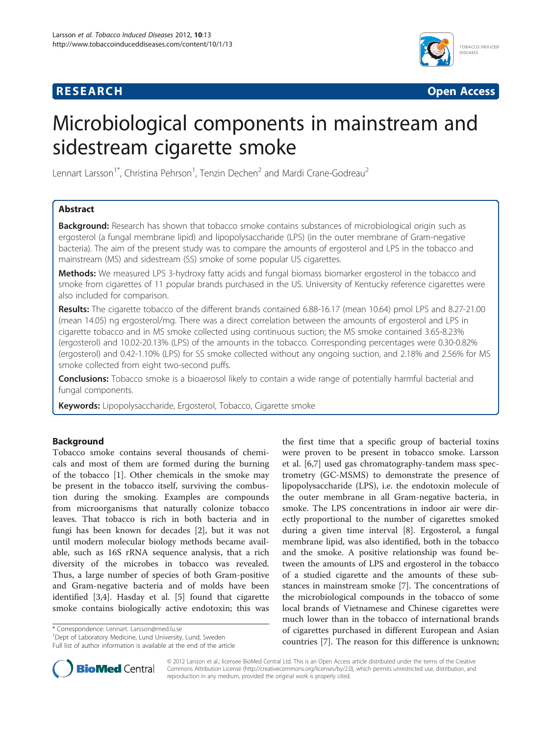## **RESEARCH RESEARCH** *CHECKER CHECKER CHECKER CHECKER CHECKER CHECKER CHECKER CHECKER CHECKER CHECKER CHECKER*



# Microbiological components in mainstream and sidestream cigarette smoke

Lennart Larsson<sup>1\*</sup>, Christina Pehrson<sup>1</sup>, Tenzin Dechen<sup>2</sup> and Mardi Crane-Godreau<sup>2</sup>

## Abstract

**Background:** Research has shown that tobacco smoke contains substances of microbiological origin such as ergosterol (a fungal membrane lipid) and lipopolysaccharide (LPS) (in the outer membrane of Gram-negative bacteria). The aim of the present study was to compare the amounts of ergosterol and LPS in the tobacco and mainstream (MS) and sidestream (SS) smoke of some popular US cigarettes.

Methods: We measured LPS 3-hydroxy fatty acids and fungal biomass biomarker ergosterol in the tobacco and smoke from cigarettes of 11 popular brands purchased in the US. University of Kentucky reference cigarettes were also included for comparison.

Results: The cigarette tobacco of the different brands contained 6.88-16.17 (mean 10.64) pmol LPS and 8.27-21.00 (mean 14.05) ng ergosterol/mg. There was a direct correlation between the amounts of ergosterol and LPS in cigarette tobacco and in MS smoke collected using continuous suction; the MS smoke contained 3.65-8.23% (ergosterol) and 10.02-20.13% (LPS) of the amounts in the tobacco. Corresponding percentages were 0.30-0.82% (ergosterol) and 0.42-1.10% (LPS) for SS smoke collected without any ongoing suction, and 2.18% and 2.56% for MS smoke collected from eight two-second puffs.

**Conclusions:** Tobacco smoke is a bioaerosol likely to contain a wide range of potentially harmful bacterial and fungal components.

Keywords: Lipopolysaccharide, Ergosterol, Tobacco, Cigarette smoke

## Background

Tobacco smoke contains several thousands of chemicals and most of them are formed during the burning of the tobacco [[1\]](#page-4-0). Other chemicals in the smoke may be present in the tobacco itself, surviving the combustion during the smoking. Examples are compounds from microorganisms that naturally colonize tobacco leaves. That tobacco is rich in both bacteria and in fungi has been known for decades [\[2](#page-4-0)], but it was not until modern molecular biology methods became available, such as 16S rRNA sequence analysis, that a rich diversity of the microbes in tobacco was revealed. Thus, a large number of species of both Gram-positive and Gram-negative bacteria and of molds have been identified [[3](#page-4-0),[4](#page-4-0)]. Hasday et al. [[5\]](#page-4-0) found that cigarette smoke contains biologically active endotoxin; this was

\* Correspondence: [Lennart. Larsson@med.lu.se](mailto:Lennart. Larsson@med.lu.se) <sup>1</sup>

<sup>1</sup>Dept of Laboratory Medicine, Lund University, Lund, Sweden Full list of author information is available at the end of the article





© 2012 Larsson et al.; licensee BioMed Central Ltd. This is an Open Access article distributed under the terms of the Creative Commons Attribution License [\(http://creativecommons.org/licenses/by/2.0\)](http://creativecommons.org/licenses/by/2.0), which permits unrestricted use, distribution, and reproduction in any medium, provided the original work is properly cited.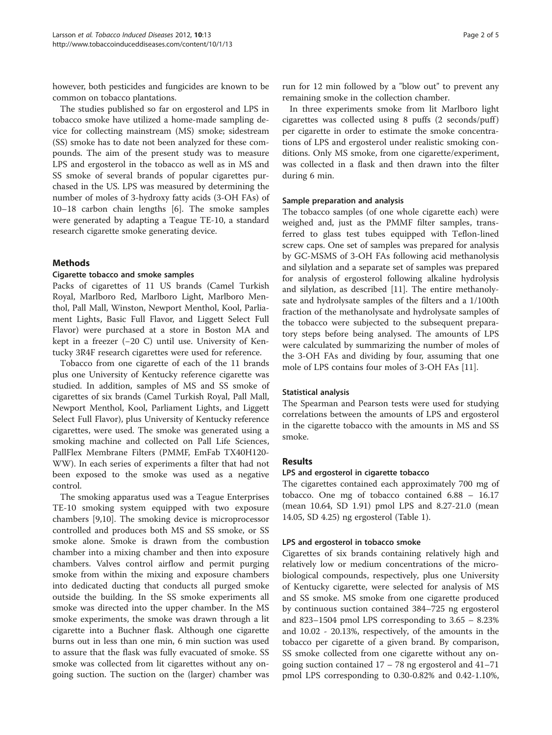however, both pesticides and fungicides are known to be common on tobacco plantations.

The studies published so far on ergosterol and LPS in tobacco smoke have utilized a home-made sampling device for collecting mainstream (MS) smoke; sidestream (SS) smoke has to date not been analyzed for these compounds. The aim of the present study was to measure LPS and ergosterol in the tobacco as well as in MS and SS smoke of several brands of popular cigarettes purchased in the US. LPS was measured by determining the number of moles of 3-hydroxy fatty acids (3-OH FAs) of 10–18 carbon chain lengths [\[6](#page-4-0)]. The smoke samples were generated by adapting a Teague TE-10, a standard research cigarette smoke generating device.

## Methods

#### Cigarette tobacco and smoke samples

Packs of cigarettes of 11 US brands (Camel Turkish Royal, Marlboro Red, Marlboro Light, Marlboro Menthol, Pall Mall, Winston, Newport Menthol, Kool, Parliament Lights, Basic Full Flavor, and Liggett Select Full Flavor) were purchased at a store in Boston MA and kept in a freezer (−20 C) until use. University of Kentucky 3R4F research cigarettes were used for reference.

Tobacco from one cigarette of each of the 11 brands plus one University of Kentucky reference cigarette was studied. In addition, samples of MS and SS smoke of cigarettes of six brands (Camel Turkish Royal, Pall Mall, Newport Menthol, Kool, Parliament Lights, and Liggett Select Full Flavor), plus University of Kentucky reference cigarettes, were used. The smoke was generated using a smoking machine and collected on Pall Life Sciences, PallFlex Membrane Filters (PMMF, EmFab TX40H120- WW). In each series of experiments a filter that had not been exposed to the smoke was used as a negative control.

The smoking apparatus used was a Teague Enterprises TE-10 smoking system equipped with two exposure chambers [[9,10\]](#page-4-0). The smoking device is microprocessor controlled and produces both MS and SS smoke, or SS smoke alone. Smoke is drawn from the combustion chamber into a mixing chamber and then into exposure chambers. Valves control airflow and permit purging smoke from within the mixing and exposure chambers into dedicated ducting that conducts all purged smoke outside the building. In the SS smoke experiments all smoke was directed into the upper chamber. In the MS smoke experiments, the smoke was drawn through a lit cigarette into a Buchner flask. Although one cigarette burns out in less than one min, 6 min suction was used to assure that the flask was fully evacuated of smoke. SS smoke was collected from lit cigarettes without any ongoing suction. The suction on the (larger) chamber was

run for 12 min followed by a "blow out" to prevent any remaining smoke in the collection chamber.

In three experiments smoke from lit Marlboro light cigarettes was collected using 8 puffs (2 seconds/puff ) per cigarette in order to estimate the smoke concentrations of LPS and ergosterol under realistic smoking conditions. Only MS smoke, from one cigarette/experiment, was collected in a flask and then drawn into the filter during 6 min.

#### Sample preparation and analysis

The tobacco samples (of one whole cigarette each) were weighed and, just as the PMMF filter samples, transferred to glass test tubes equipped with Teflon-lined screw caps. One set of samples was prepared for analysis by GC-MSMS of 3-OH FAs following acid methanolysis and silylation and a separate set of samples was prepared for analysis of ergosterol following alkaline hydrolysis and silylation, as described [[11\]](#page-4-0). The entire methanolysate and hydrolysate samples of the filters and a 1/100th fraction of the methanolysate and hydrolysate samples of the tobacco were subjected to the subsequent preparatory steps before being analysed. The amounts of LPS were calculated by summarizing the number of moles of the 3-OH FAs and dividing by four, assuming that one mole of LPS contains four moles of 3-OH FAs [\[11](#page-4-0)].

## Statistical analysis

The Spearman and Pearson tests were used for studying correlations between the amounts of LPS and ergosterol in the cigarette tobacco with the amounts in MS and SS smoke.

## Results

## LPS and ergosterol in cigarette tobacco

The cigarettes contained each approximately 700 mg of tobacco. One mg of tobacco contained 6.88 – 16.17 (mean 10.64, SD 1.91) pmol LPS and 8.27-21.0 (mean 14.05, SD 4.25) ng ergosterol (Table [1](#page-2-0)).

## LPS and ergosterol in tobacco smoke

Cigarettes of six brands containing relatively high and relatively low or medium concentrations of the microbiological compounds, respectively, plus one University of Kentucky cigarette, were selected for analysis of MS and SS smoke. MS smoke from one cigarette produced by continuous suction contained 384–725 ng ergosterol and 823–1504 pmol LPS corresponding to 3.65 – 8.23% and 10.02 - 20.13%, respectively, of the amounts in the tobacco per cigarette of a given brand. By comparison, SS smoke collected from one cigarette without any ongoing suction contained 17 – 78 ng ergosterol and 41–71 pmol LPS corresponding to 0.30-0.82% and 0.42-1.10%,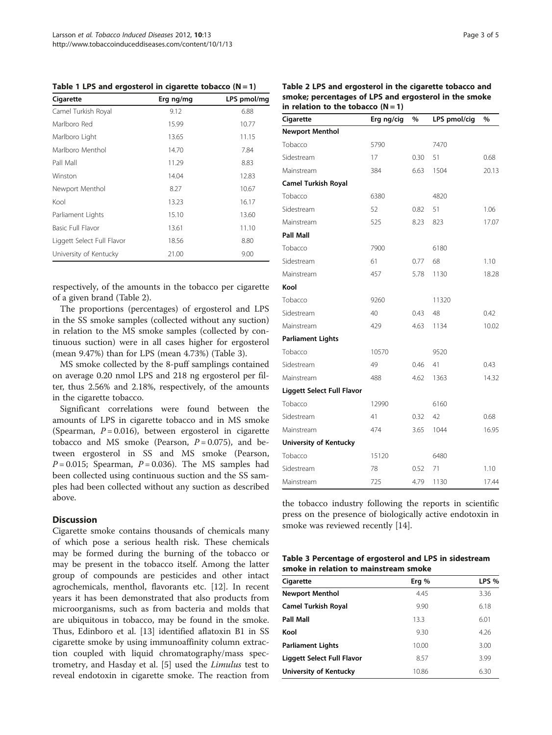<span id="page-2-0"></span>Table 1 LPS and ergosterol in cigarette tobacco  $(N = 1)$ 

| Cigarette                  | Erg ng/mg | LPS pmol/mg |
|----------------------------|-----------|-------------|
| Camel Turkish Royal        | 9.12      | 6.88        |
| Marlboro Red               | 15.99     | 10.77       |
| Marlboro Light             | 13.65     | 11.15       |
| Marlboro Menthol           | 14.70     | 7.84        |
| Pall Mall                  | 11.29     | 8.83        |
| Winston                    | 14.04     | 12.83       |
| Newport Menthol            | 8.27      | 10.67       |
| Kool                       | 13.23     | 16.17       |
| Parliament Lights          | 15.10     | 13.60       |
| Basic Full Flavor          | 13.61     | 11.10       |
| Liggett Select Full Flavor | 18.56     | 8.80        |
| University of Kentucky     | 21.00     | 9.00        |

respectively, of the amounts in the tobacco per cigarette of a given brand (Table 2).

The proportions (percentages) of ergosterol and LPS in the SS smoke samples (collected without any suction) in relation to the MS smoke samples (collected by continuous suction) were in all cases higher for ergosterol (mean 9.47%) than for LPS (mean 4.73%) (Table 3).

MS smoke collected by the 8-puff samplings contained on average 0.20 nmol LPS and 218 ng ergosterol per filter, thus 2.56% and 2.18%, respectively, of the amounts in the cigarette tobacco.

Significant correlations were found between the amounts of LPS in cigarette tobacco and in MS smoke (Spearman,  $P = 0.016$ ), between ergosterol in cigarette tobacco and MS smoke (Pearson,  $P = 0.075$ ), and between ergosterol in SS and MS smoke (Pearson,  $P = 0.015$ ; Spearman,  $P = 0.036$ ). The MS samples had been collected using continuous suction and the SS samples had been collected without any suction as described above.

## **Discussion**

Cigarette smoke contains thousands of chemicals many of which pose a serious health risk. These chemicals may be formed during the burning of the tobacco or may be present in the tobacco itself. Among the latter group of compounds are pesticides and other intact agrochemicals, menthol, flavorants etc. [[12\]](#page-4-0). In recent years it has been demonstrated that also products from microorganisms, such as from bacteria and molds that are ubiquitous in tobacco, may be found in the smoke. Thus, Edinboro et al. [\[13](#page-4-0)] identified aflatoxin B1 in SS cigarette smoke by using immunoaffinity column extraction coupled with liquid chromatography/mass spectrometry, and Hasday et al. [\[5](#page-4-0)] used the Limulus test to reveal endotoxin in cigarette smoke. The reaction from

Table 2 LPS and ergosterol in the cigarette tobacco and smoke; percentages of LPS and ergosterol in the smoke in relation to the tobacco  $(N = 1)$ 

| Cigarette                  | Erg ng/cig | %    | LPS pmol/cig | %     |
|----------------------------|------------|------|--------------|-------|
| <b>Newport Menthol</b>     |            |      |              |       |
| Tobacco                    | 5790       |      | 7470         |       |
| Sidestream                 | 17         | 0.30 | 51           | 0.68  |
| Mainstream                 | 384        | 6.63 | 1504         | 20.13 |
| <b>Camel Turkish Royal</b> |            |      |              |       |
| Tobacco                    | 6380       |      | 4820         |       |
| Sidestream                 | 52         | 0.82 | 51           | 1.06  |
| Mainstream                 | 525        | 8.23 | 823          | 17.07 |
| Pall Mall                  |            |      |              |       |
| Tobacco                    | 7900       |      | 6180         |       |
| Sidestream                 | 61         | 0.77 | 68           | 1.10  |
| Mainstream                 | 457        | 5.78 | 1130         | 18.28 |
| Kool                       |            |      |              |       |
| Tobacco                    | 9260       |      | 11320        |       |
| Sidestream                 | 40         | 0.43 | 48           | 0.42  |
| Mainstream                 | 429        | 4.63 | 1134         | 10.02 |
| <b>Parliament Lights</b>   |            |      |              |       |
| Tobacco                    | 10570      |      | 9520         |       |
| Sidestream                 | 49         | 0.46 | 41           | 0.43  |
| Mainstream                 | 488        | 4.62 | 1363         | 14.32 |
| Liggett Select Full Flavor |            |      |              |       |
| Tobacco                    | 12990      |      | 6160         |       |
| Sidestream                 | 41         | 0.32 | 42           | 0.68  |
| Mainstream                 | 474        | 3.65 | 1044         | 16.95 |
| University of Kentucky     |            |      |              |       |
| Tobacco                    | 15120      |      | 6480         |       |
| Sidestream                 | 78         | 0.52 | 71           | 1.10  |
| Mainstream                 | 725        | 4.79 | 1130         | 17.44 |

the tobacco industry following the reports in scientific press on the presence of biologically active endotoxin in smoke was reviewed recently [[14\]](#page-4-0).

| Table 3 Percentage of ergosterol and LPS in sidestream |  |
|--------------------------------------------------------|--|
| smoke in relation to mainstream smoke                  |  |

| Cigarette                  | Erg % | LPS % |
|----------------------------|-------|-------|
| <b>Newport Menthol</b>     | 4.45  | 3.36  |
| <b>Camel Turkish Royal</b> | 9.90  | 6.18  |
| Pall Mall                  | 13.3  | 6.01  |
| Kool                       | 9.30  | 4.26  |
| <b>Parliament Lights</b>   | 10.00 | 3.00  |
| Liggett Select Full Flavor | 8.57  | 3.99  |
| University of Kentucky     | 10.86 | 6.30  |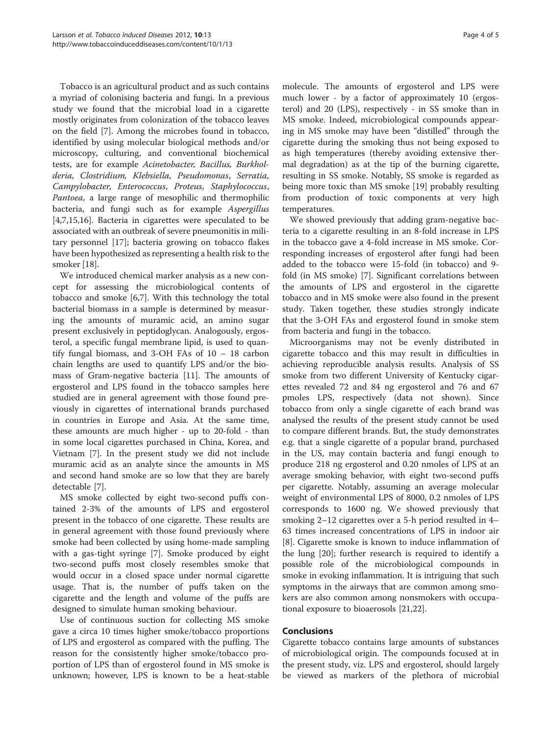Tobacco is an agricultural product and as such contains a myriad of colonising bacteria and fungi. In a previous study we found that the microbial load in a cigarette mostly originates from colonization of the tobacco leaves on the field [[7\]](#page-4-0). Among the microbes found in tobacco, identified by using molecular biological methods and/or microscopy, culturing, and conventional biochemical tests, are for example Acinetobacter, Bacillus, Burkholderia, Clostridium, Klebsiella, Pseudomonas, Serratia, Campylobacter, Enterococcus, Proteus, Staphylococcus, Pantoea, a large range of mesophilic and thermophilic bacteria, and fungi such as for example Aspergillus [[4,7,15,16\]](#page-4-0). Bacteria in cigarettes were speculated to be associated with an outbreak of severe pneumonitis in military personnel [[17\]](#page-4-0); bacteria growing on tobacco flakes have been hypothesized as representing a health risk to the smoker [[18\]](#page-4-0).

We introduced chemical marker analysis as a new concept for assessing the microbiological contents of tobacco and smoke [[6,7\]](#page-4-0). With this technology the total bacterial biomass in a sample is determined by measuring the amounts of muramic acid, an amino sugar present exclusively in peptidoglycan. Analogously, ergosterol, a specific fungal membrane lipid, is used to quantify fungal biomass, and 3-OH FAs of 10 – 18 carbon chain lengths are used to quantify LPS and/or the biomass of Gram-negative bacteria [[11\]](#page-4-0). The amounts of ergosterol and LPS found in the tobacco samples here studied are in general agreement with those found previously in cigarettes of international brands purchased in countries in Europe and Asia. At the same time, these amounts are much higher - up to 20-fold - than in some local cigarettes purchased in China, Korea, and Vietnam [[7\]](#page-4-0). In the present study we did not include muramic acid as an analyte since the amounts in MS and second hand smoke are so low that they are barely detectable [\[7](#page-4-0)].

MS smoke collected by eight two-second puffs contained 2-3% of the amounts of LPS and ergosterol present in the tobacco of one cigarette. These results are in general agreement with those found previously where smoke had been collected by using home-made sampling with a gas-tight syringe [[7\]](#page-4-0). Smoke produced by eight two-second puffs most closely resembles smoke that would occur in a closed space under normal cigarette usage. That is, the number of puffs taken on the cigarette and the length and volume of the puffs are designed to simulate human smoking behaviour.

Use of continuous suction for collecting MS smoke gave a circa 10 times higher smoke/tobacco proportions of LPS and ergosterol as compared with the puffing. The reason for the consistently higher smoke/tobacco proportion of LPS than of ergosterol found in MS smoke is unknown; however, LPS is known to be a heat-stable molecule. The amounts of ergosterol and LPS were much lower - by a factor of approximately 10 (ergosterol) and 20 (LPS), respectively - in SS smoke than in MS smoke. Indeed, microbiological compounds appearing in MS smoke may have been "distilled" through the cigarette during the smoking thus not being exposed to as high temperatures (thereby avoiding extensive thermal degradation) as at the tip of the burning cigarette, resulting in SS smoke. Notably, SS smoke is regarded as being more toxic than MS smoke [\[19](#page-4-0)] probably resulting from production of toxic components at very high temperatures.

We showed previously that adding gram-negative bacteria to a cigarette resulting in an 8-fold increase in LPS in the tobacco gave a 4-fold increase in MS smoke. Corresponding increases of ergosterol after fungi had been added to the tobacco were 15-fold (in tobacco) and 9 fold (in MS smoke) [[7\]](#page-4-0). Significant correlations between the amounts of LPS and ergosterol in the cigarette tobacco and in MS smoke were also found in the present study. Taken together, these studies strongly indicate that the 3-OH FAs and ergosterol found in smoke stem from bacteria and fungi in the tobacco.

Microorganisms may not be evenly distributed in cigarette tobacco and this may result in difficulties in achieving reproducible analysis results. Analysis of SS smoke from two different University of Kentucky cigarettes revealed 72 and 84 ng ergosterol and 76 and 67 pmoles LPS, respectively (data not shown). Since tobacco from only a single cigarette of each brand was analysed the results of the present study cannot be used to compare different brands. But, the study demonstrates e.g. that a single cigarette of a popular brand, purchased in the US, may contain bacteria and fungi enough to produce 218 ng ergosterol and 0.20 nmoles of LPS at an average smoking behavior, with eight two-second puffs per cigarette. Notably, assuming an average molecular weight of environmental LPS of 8000, 0.2 nmoles of LPS corresponds to 1600 ng. We showed previously that smoking 2–12 cigarettes over a 5-h period resulted in 4– 63 times increased concentrations of LPS in indoor air [[8\]](#page-4-0). Cigarette smoke is known to induce inflammation of the lung [\[20](#page-4-0)]; further research is required to identify a possible role of the microbiological compounds in smoke in evoking inflammation. It is intriguing that such symptoms in the airways that are common among smokers are also common among nonsmokers with occupational exposure to bioaerosols [\[21,22](#page-4-0)].

#### Conclusions

Cigarette tobacco contains large amounts of substances of microbiological origin. The compounds focused at in the present study, viz. LPS and ergosterol, should largely be viewed as markers of the plethora of microbial